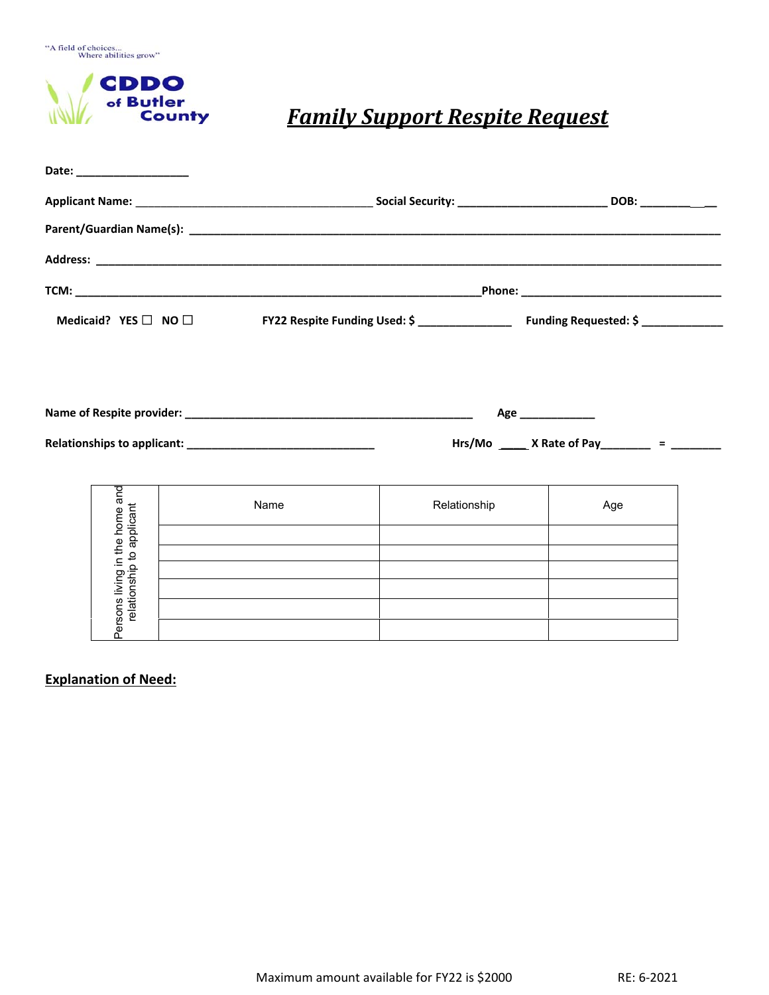"A field of choices...<br>Where abilities grow"



## *Family Support Respite Request*

| Date: ___________________                                   |  |                                                                                 |  |              |                                                                                     |                                                |  |  |  |
|-------------------------------------------------------------|--|---------------------------------------------------------------------------------|--|--------------|-------------------------------------------------------------------------------------|------------------------------------------------|--|--|--|
|                                                             |  |                                                                                 |  |              |                                                                                     |                                                |  |  |  |
|                                                             |  |                                                                                 |  |              |                                                                                     |                                                |  |  |  |
|                                                             |  |                                                                                 |  |              |                                                                                     |                                                |  |  |  |
|                                                             |  |                                                                                 |  |              |                                                                                     |                                                |  |  |  |
| Medicaid? $YES$ $\Box$ NO $\Box$                            |  |                                                                                 |  |              | FY22 Respite Funding Used: \$ ____________________ Funding Requested: \$ __________ |                                                |  |  |  |
|                                                             |  |                                                                                 |  |              |                                                                                     |                                                |  |  |  |
|                                                             |  |                                                                                 |  |              |                                                                                     |                                                |  |  |  |
|                                                             |  |                                                                                 |  |              | Age ______________                                                                  |                                                |  |  |  |
|                                                             |  |                                                                                 |  |              |                                                                                     | Hrs/Mo ______ X Rate of Pay________ = ________ |  |  |  |
|                                                             |  |                                                                                 |  |              |                                                                                     |                                                |  |  |  |
| Persons living in the home and<br>relationship to applicant |  | Name                                                                            |  | Relationship |                                                                                     | Age                                            |  |  |  |
|                                                             |  | the contract of the contract of the contract of the contract of the contract of |  |              |                                                                                     |                                                |  |  |  |
|                                                             |  | <u> 1989 - Johann Stoff, amerikansk politiker (* 1908)</u>                      |  |              |                                                                                     |                                                |  |  |  |
|                                                             |  |                                                                                 |  |              |                                                                                     |                                                |  |  |  |
|                                                             |  |                                                                                 |  |              |                                                                                     |                                                |  |  |  |
|                                                             |  |                                                                                 |  |              |                                                                                     |                                                |  |  |  |

**Explanation of Need:**